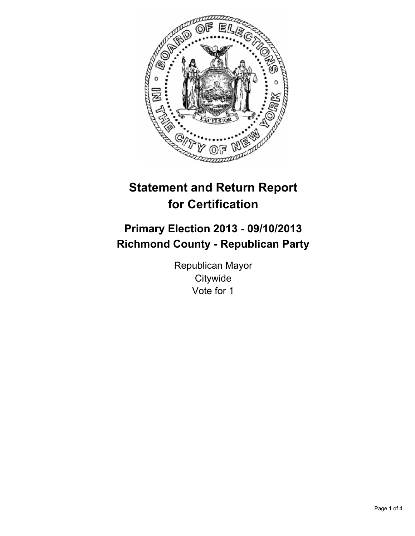

# **Statement and Return Report for Certification**

# **Primary Election 2013 - 09/10/2013 Richmond County - Republican Party**

Republican Mayor **Citywide** Vote for 1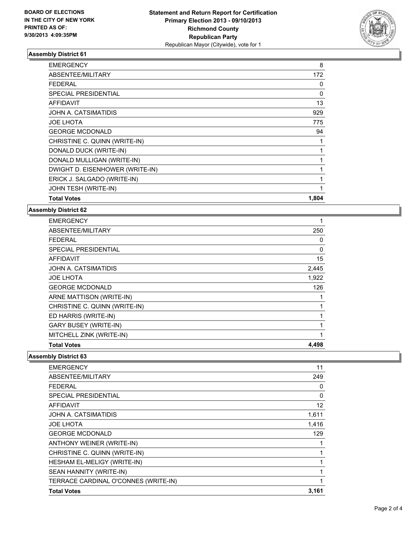

## **Assembly District 61**

| <b>EMERGENCY</b>                | 8     |
|---------------------------------|-------|
| ABSENTEE/MILITARY               | 172   |
| <b>FEDERAL</b>                  | 0     |
| <b>SPECIAL PRESIDENTIAL</b>     | 0     |
| <b>AFFIDAVIT</b>                | 13    |
| JOHN A. CATSIMATIDIS            | 929   |
| <b>JOE LHOTA</b>                | 775   |
| <b>GEORGE MCDONALD</b>          | 94    |
| CHRISTINE C. QUINN (WRITE-IN)   |       |
| DONALD DUCK (WRITE-IN)          |       |
| DONALD MULLIGAN (WRITE-IN)      |       |
| DWIGHT D. EISENHOWER (WRITE-IN) |       |
| ERICK J. SALGADO (WRITE-IN)     | 1     |
| JOHN TESH (WRITE-IN)            |       |
| <b>Total Votes</b>              | 1,804 |

### **Assembly District 62**

| <b>EMERGENCY</b>              | 1     |
|-------------------------------|-------|
| ABSENTEE/MILITARY             | 250   |
| <b>FEDERAL</b>                | 0     |
| <b>SPECIAL PRESIDENTIAL</b>   | 0     |
| <b>AFFIDAVIT</b>              | 15    |
| JOHN A. CATSIMATIDIS          | 2,445 |
| <b>JOE LHOTA</b>              | 1,922 |
| <b>GEORGE MCDONALD</b>        | 126   |
| ARNE MATTISON (WRITE-IN)      |       |
| CHRISTINE C. QUINN (WRITE-IN) |       |
| ED HARRIS (WRITE-IN)          | 1     |
| <b>GARY BUSEY (WRITE-IN)</b>  | 1     |
| MITCHELL ZINK (WRITE-IN)      | 1     |
| <b>Total Votes</b>            | 4,498 |

### **Assembly District 63**

| <b>EMERGENCY</b>                     | 11    |
|--------------------------------------|-------|
| ABSENTEE/MILITARY                    | 249   |
| <b>FEDERAL</b>                       | 0     |
| SPECIAL PRESIDENTIAL                 | 0     |
| <b>AFFIDAVIT</b>                     | 12    |
| JOHN A. CATSIMATIDIS                 | 1,611 |
| <b>JOE LHOTA</b>                     | 1,416 |
| <b>GEORGE MCDONALD</b>               | 129   |
| ANTHONY WEINER (WRITE-IN)            |       |
| CHRISTINE C. QUINN (WRITE-IN)        | 1     |
| HESHAM EL-MELIGY (WRITE-IN)          | 1     |
| SEAN HANNITY (WRITE-IN)              |       |
| TERRACE CARDINAL O'CONNES (WRITE-IN) |       |
| <b>Total Votes</b>                   | 3,161 |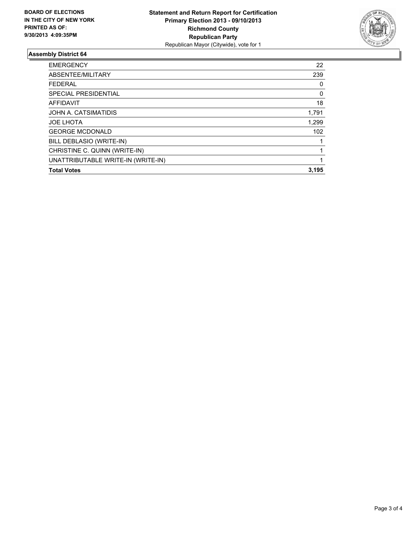

## **Assembly District 64**

| <b>EMERGENCY</b>                   | 22    |
|------------------------------------|-------|
| ABSENTEE/MILITARY                  | 239   |
| <b>FEDERAL</b>                     | 0     |
| SPECIAL PRESIDENTIAL               | 0     |
| <b>AFFIDAVIT</b>                   | 18    |
| JOHN A. CATSIMATIDIS               | 1,791 |
| <b>JOE LHOTA</b>                   | 1,299 |
| <b>GEORGE MCDONALD</b>             | 102   |
| BILL DEBLASIO (WRITE-IN)           |       |
| CHRISTINE C. QUINN (WRITE-IN)      |       |
| UNATTRIBUTABLE WRITE-IN (WRITE-IN) |       |
| <b>Total Votes</b>                 | 3,195 |